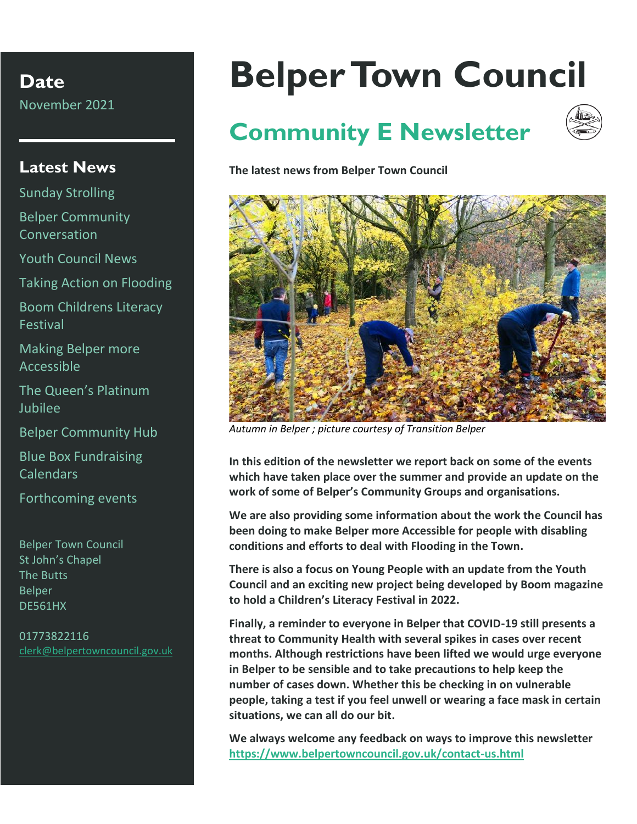**Date** November 2021

#### **Latest News**

Sunday Strolling Belper Community Conversation

Youth Council News

Taking Action on Flooding

Boom Childrens Literacy Festival

Making Belper more Accessible

The Queen's Platinum Jubilee

Belper Community Hub

Blue Box Fundraising Calendars

Forthcoming events

Belper Town Council St John's Chapel The Butts Belper DE561HX

01773822116 [clerk@belpertowncouncil.gov.uk](mailto:clerk@belpertowncouncil.gov.uk)

# **Belper Town Council**

# **Community E Newsletter**



**The latest news from Belper Town Council**



*Autumn in Belper ; picture courtesy of Transition Belper*

**In this edition of the newsletter we report back on some of the events which have taken place over the summer and provide an update on the work of some of Belper's Community Groups and organisations.**

**We are also providing some information about the work the Council has been doing to make Belper more Accessible for people with disabling conditions and efforts to deal with Flooding in the Town.** 

**There is also a focus on Young People with an update from the Youth Council and an exciting new project being developed by Boom magazine to hold a Children's Literacy Festival in 2022.**

**Finally, a reminder to everyone in Belper that COVID-19 still presents a threat to Community Health with several spikes in cases over recent months. Although restrictions have been lifted we would urge everyone in Belper to be sensible and to take precautions to help keep the number of cases down. Whether this be checking in on vulnerable people, taking a test if you feel unwell or wearing a face mask in certain situations, we can all do our bit.**

**We always welcome any feedback on ways to improve this newsletter <https://www.belpertowncouncil.gov.uk/contact-us.html>**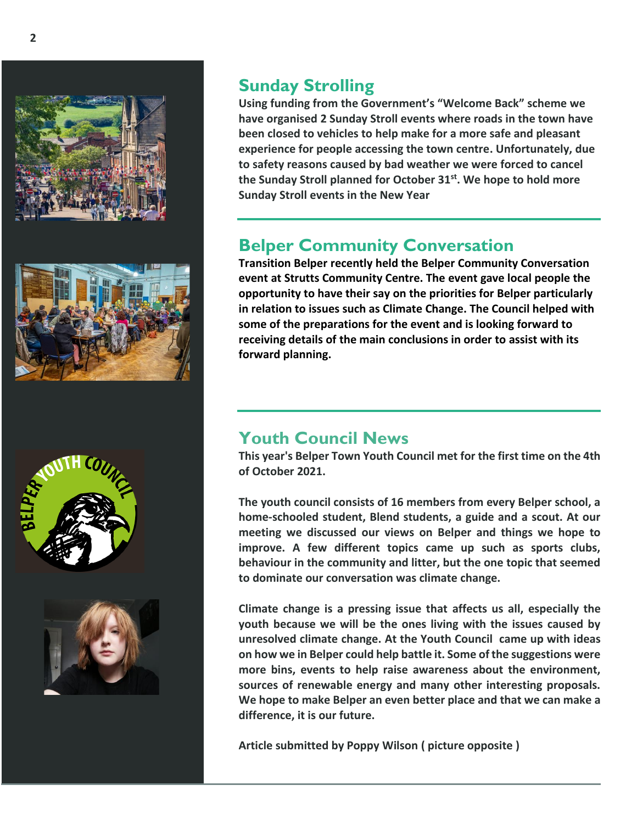







#### **Sunday Strolling**

**Using funding from the Government's "Welcome Back" scheme we have organised 2 Sunday Stroll events where roads in the town have been closed to vehicles to help make for a more safe and pleasant experience for people accessing the town centre. Unfortunately, due to safety reasons caused by bad weather we were forced to cancel the Sunday Stroll planned for October 31st. We hope to hold more Sunday Stroll events in the New Year**

# **Belper Community Conversation**

**Transition Belper recently held the Belper Community Conversation event at Strutts Community Centre. The event gave local people the opportunity to have their say on the priorities for Belper particularly in relation to issues such as Climate Change. The Council helped with some of the preparations for the event and is looking forward to receiving details of the main conclusions in order to assist with its forward planning.** 

### **Youth Council News**

**This year's Belper Town Youth Council met for the first time on the 4th of October 2021.** 

**The youth council consists of 16 members from every Belper school, a home-schooled student, Blend students, a guide and a scout. At our meeting we discussed our views on Belper and things we hope to improve. A few different topics came up such as sports clubs, behaviour in the community and litter, but the one topic that seemed to dominate our conversation was climate change.** 

**Climate change is a pressing issue that affects us all, especially the youth because we will be the ones living with the issues caused by unresolved climate change. At the Youth Council came up with ideas on how we in Belper could help battle it. Some of the suggestions were more bins, events to help raise awareness about the environment, sources of renewable energy and many other interesting proposals. We hope to make Belper an even better place and that we can make a difference, it is our future.**

**Article submitted by Poppy Wilson ( picture opposite )**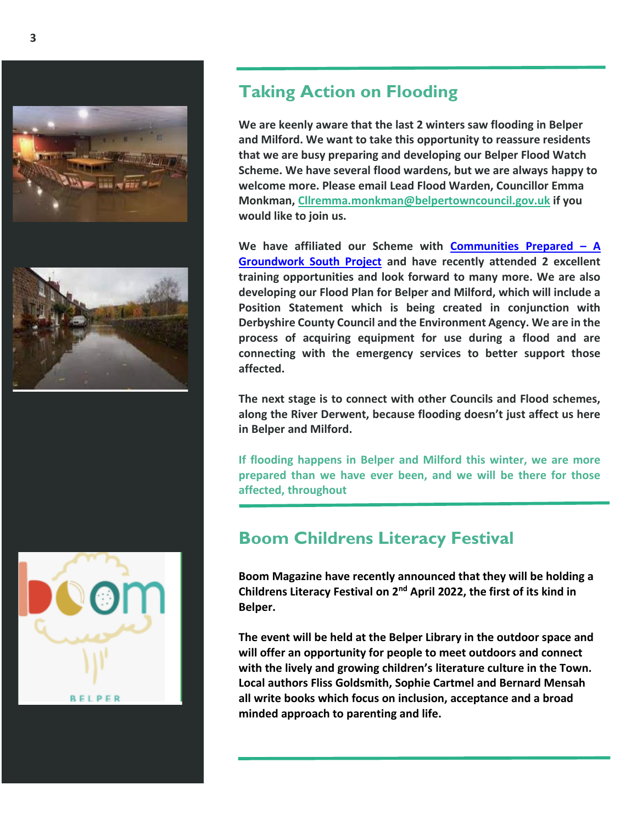





## **Taking Action on Flooding**

**We are keenly aware that the last 2 winters saw flooding in Belper and Milford. We want to take this opportunity to reassure residents that we are busy preparing and developing our Belper Flood Watch Scheme. We have several flood wardens, but we are always happy to welcome more. Please email Lead Flood Warden, Councillor Emma Monkman, [Cllremma.monkman@belpertowncouncil.gov.uk](mailto:Cllremma.monkman@belpertowncouncil.gov.uk) if you would like to join us.**

**We have affiliated our Scheme with [Communities Prepared](https://www.communitiesprepared.org.uk/) – A [Groundwork South Project](https://www.communitiesprepared.org.uk/) and have recently attended 2 excellent training opportunities and look forward to many more. We are also developing our Flood Plan for Belper and Milford, which will include a Position Statement which is being created in conjunction with Derbyshire County Council and the Environment Agency. We are in the process of acquiring equipment for use during a flood and are connecting with the emergency services to better support those affected.**

**The next stage is to connect with other Councils and Flood schemes, along the River Derwent, because flooding doesn't just affect us here in Belper and Milford.**

**If flooding happens in Belper and Milford this winter, we are more prepared than we have ever been, and we will be there for those affected, throughout**

# **Boom Childrens Literacy Festival**

**Boom Magazine have recently announced that they will be holding a Childrens Literacy Festival on 2nd April 2022, the first of its kind in Belper.**

**The event will be held at the Belper Library in the outdoor space and will offer an opportunity for people to meet outdoors and connect with the lively and growing children's literature culture in the Town. Local authors Fliss Goldsmith, Sophie Cartmel and Bernard Mensah all write books which focus on inclusion, acceptance and a broad minded approach to parenting and life.**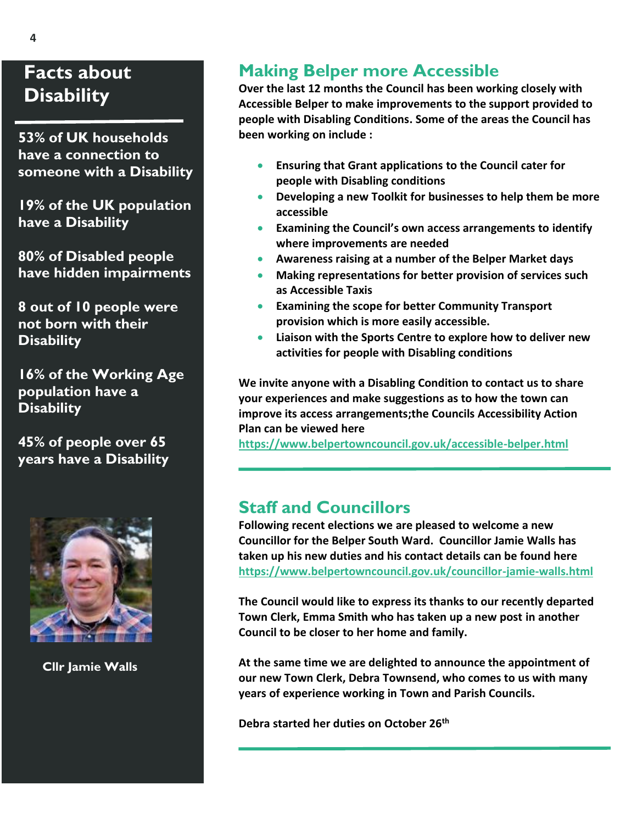# **Facts about Disability**

 **53% of UK households have a connection to someone with a Disability** 

 **19% of the UK population have a Disability**

 **80% of Disabled people have hidden impairments** 

 **8 out of 10 people were not born with their Disability**

 **16% of the Working Age population have a Disability**

 **45% of people over 65 years have a Disability**



 **Cllr Jamie Walls**

# **Making Belper more Accessible**

**Over the last 12 months the Council has been working closely with Accessible Belper to make improvements to the support provided to people with Disabling Conditions. Some of the areas the Council has been working on include :**

- **Ensuring that Grant applications to the Council cater for people with Disabling conditions**
- **Developing a new Toolkit for businesses to help them be more accessible**
- **Examining the Council's own access arrangements to identify where improvements are needed**
- **Awareness raising at a number of the Belper Market days**
- **Making representations for better provision of services such as Accessible Taxis**
- **Examining the scope for better Community Transport provision which is more easily accessible.**
- **Liaison with the Sports Centre to explore how to deliver new activities for people with Disabling conditions**

**We invite anyone with a Disabling Condition to contact us to share your experiences and make suggestions as to how the town can improve its access arrangements;the Councils Accessibility Action Plan can be viewed here** 

**<https://www.belpertowncouncil.gov.uk/accessible-belper.html>**

### **Staff and Councillors**

**Following recent elections we are pleased to welcome a new Councillor for the Belper South Ward. Councillor Jamie Walls has taken up his new duties and his contact details can be found here <https://www.belpertowncouncil.gov.uk/councillor-jamie-walls.html>**

**The Council would like to express its thanks to our recently departed Town Clerk, Emma Smith who has taken up a new post in another Council to be closer to her home and family.** 

**At the same time we are delighted to announce the appointment of our new Town Clerk, Debra Townsend, who comes to us with many years of experience working in Town and Parish Councils.**

**Debra started her duties on October 26th**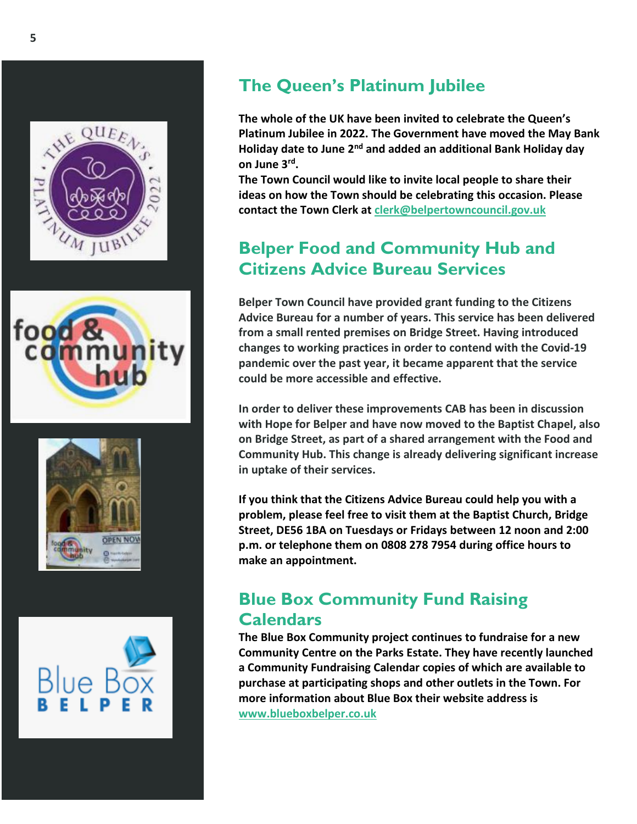







# **The Queen's Platinum Jubilee**

**The whole of the UK have been invited to celebrate the Queen's Platinum Jubilee in 2022. The Government have moved the May Bank Holiday date to June 2nd and added an additional Bank Holiday day on June 3rd .**

**The Town Council would like to invite local people to share their ideas on how the Town should be celebrating this occasion. Please contact the Town Clerk at [clerk@belpertowncouncil.gov.uk](mailto:clerk@belpertowncouncil.gov.uk)**

# **Belper Food and Community Hub and Citizens Advice Bureau Services**

**Belper Town Council have provided grant funding to the Citizens Advice Bureau for a number of years. This service has been delivered from a small rented premises on Bridge Street. Having introduced changes to working practices in order to contend with the Covid-19 pandemic over the past year, it became apparent that the service could be more accessible and effective.** 

**In order to deliver these improvements CAB has been in discussion with Hope for Belper and have now moved to the Baptist Chapel, also on Bridge Street, as part of a shared arrangement with the Food and Community Hub. This change is already delivering significant increase in uptake of their services.**

**If you think that the Citizens Advice Bureau could help you with a problem, please feel free to visit them at the Baptist Church, Bridge Street, DE56 1BA on Tuesdays or Fridays between 12 noon and 2:00 p.m. or telephone them on 0808 278 7954 during office hours to make an appointment.** 

# **Blue Box Community Fund Raising Calendars**

**The Blue Box Community project continues to fundraise for a new Community Centre on the Parks Estate. They have recently launched a Community Fundraising Calendar copies of which are available to purchase at participating shops and other outlets in the Town. For more information about Blue Box their website address is [www.blueboxbelper.co.uk](http://www.blueboxbelper.co.uk/)**